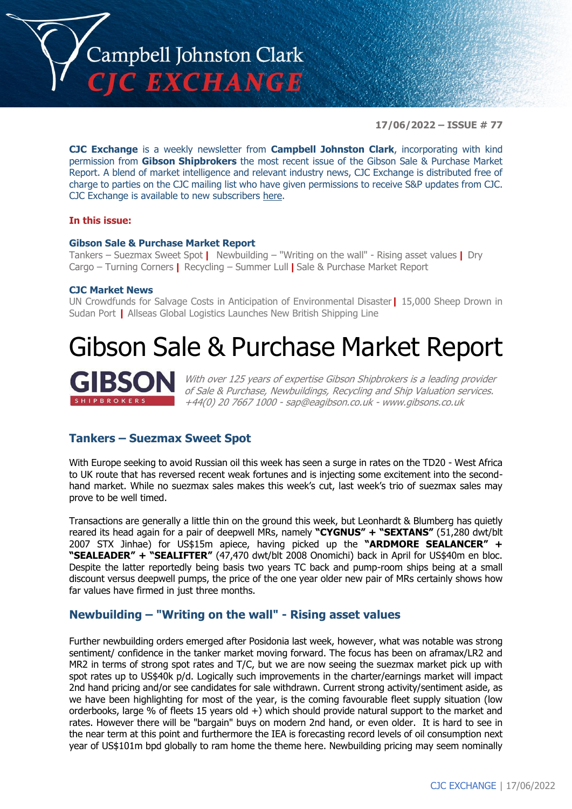

**17/06/2022 – ISSUE # 77**

**CJC Exchange** is a weekly newsletter from **Campbell Johnston Clark**, incorporating with kind permission from **Gibson Shipbrokers** the most recent issue of the Gibson Sale & Purchase Market Report. A blend of market intelligence and relevant industry news, CJC Exchange is distributed free of charge to parties on the CJC mailing list who have given permissions to receive S&P updates from CJC. CJC Exchange is available to new subscribers [here.](mailto:jamesc@cjclaw.com?subject=CJC%20Exchange%20sign-up)

### **In this issue:**

### **Gibson Sale & Purchase Market Report**

Tankers – Suezmax Sweet Spot **|** Newbuilding – "Writing on the wall" - Rising asset values **|** Dry Cargo – Turning Corners **|** Recycling – Summer Lull **|** Sale & Purchase Market Report

### **CJC Market News**

UN Crowdfunds for Salvage Costs in Anticipation of Environmental Disaster**|** 15,000 Sheep Drown in Sudan Port **|** Allseas Global Logistics Launches New British Shipping Line

# Gibson Sale & Purchase Market Report



With over 125 years of expertise Gibson Shipbrokers is a leading provider of Sale & Purchase, Newbuildings, Recycling and Ship Valuation services. +44(0) 20 7667 1000 - [sap@eagibson.co.uk](mailto:sap@eagibson.co.uk) - [www.gibsons.co.uk](https://protect-eu.mimecast.com/s/VO6nCGZzRS60KqcK1jQh/)

### **Tankers – Suezmax Sweet Spot**

With Europe seeking to avoid Russian oil this week has seen a surge in rates on the TD20 - West Africa to UK route that has reversed recent weak fortunes and is injecting some excitement into the secondhand market. While no suezmax sales makes this week's cut, last week's trio of suezmax sales may prove to be well timed.

Transactions are generally a little thin on the ground this week, but Leonhardt & Blumberg has quietly reared its head again for a pair of deepwell MRs, namely **"CYGNUS" + "SEXTANS"** (51,280 dwt/blt 2007 STX Jinhae) for US\$15m apiece, having picked up the **"ARDMORE SEALANCER" + "SEALEADER" + "SEALIFTER"** (47,470 dwt/blt 2008 Onomichi) back in April for US\$40m en bloc. Despite the latter reportedly being basis two years TC back and pump-room ships being at a small discount versus deepwell pumps, the price of the one year older new pair of MRs certainly shows how far values have firmed in just three months.

### **Newbuilding – "Writing on the wall" - Rising asset values**

Further newbuilding orders emerged after Posidonia last week, however, what was notable was strong sentiment/ confidence in the tanker market moving forward. The focus has been on aframax/LR2 and MR2 in terms of strong spot rates and T/C, but we are now seeing the suezmax market pick up with spot rates up to US\$40k p/d. Logically such improvements in the charter/earnings market will impact 2nd hand pricing and/or see candidates for sale withdrawn. Current strong activity/sentiment aside, as we have been highlighting for most of the year, is the coming favourable fleet supply situation (low orderbooks, large % of fleets 15 years old +) which should provide natural support to the market and rates. However there will be "bargain" buys on modern 2nd hand, or even older. It is hard to see in the near term at this point and furthermore the IEA is forecasting record levels of oil consumption next year of US\$101m bpd globally to ram home the theme here. Newbuilding pricing may seem nominally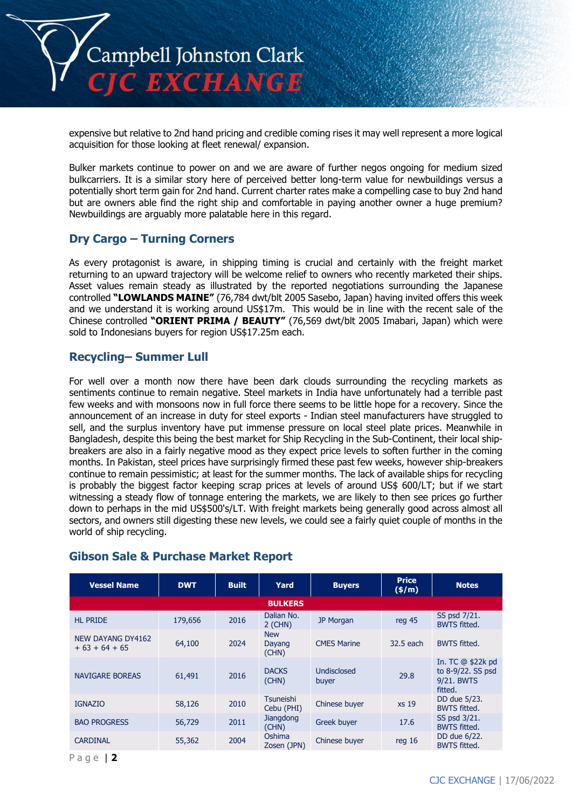

expensive but relative to 2nd hand pricing and credible coming rises it may well represent a more logical acquisition for those looking at fleet renewal/ expansion.

Bulker markets continue to power on and we are aware of further negos ongoing for medium sized bulkcarriers. It is a similar story here of perceived better long-term value for newbuildings versus a potentially short term gain for 2nd hand. Current charter rates make a compelling case to buy 2nd hand but are owners able find the right ship and comfortable in paying another owner a huge premium? Newbuildings are arguably more palatable here in this regard.

## **Dry Cargo – Turning Corners**

As every protagonist is aware, in shipping timing is crucial and certainly with the freight market returning to an upward trajectory will be welcome relief to owners who recently marketed their ships. Asset values remain steady as illustrated by the reported negotiations surrounding the Japanese controlled **"LOWLANDS MAINE"** (76,784 dwt/blt 2005 Sasebo, Japan) having invited offers this week and we understand it is working around US\$17m. This would be in line with the recent sale of the Chinese controlled **"ORIENT PRIMA / BEAUTY"** (76,569 dwt/blt 2005 Imabari, Japan) which were sold to Indonesians buyers for region US\$17.25m each.

## **Recycling– Summer Lull**

For well over a month now there have been dark clouds surrounding the recycling markets as sentiments continue to remain negative. Steel markets in India have unfortunately had a terrible past few weeks and with monsoons now in full force there seems to be little hope for a recovery. Since the announcement of an increase in duty for steel exports - Indian steel manufacturers have struggled to sell, and the surplus inventory have put immense pressure on local steel plate prices. Meanwhile in Bangladesh, despite this being the best market for Ship Recycling in the Sub-Continent, their local shipbreakers are also in a fairly negative mood as they expect price levels to soften further in the coming months. In Pakistan, steel prices have surprisingly firmed these past few weeks, however ship-breakers continue to remain pessimistic; at least for the summer months. The lack of available ships for recycling is probably the biggest factor keeping scrap prices at levels of around US\$ 600/LT; but if we start witnessing a steady flow of tonnage entering the markets, we are likely to then see prices go further down to perhaps in the mid US\$500's/LT. With freight markets being generally good across almost all sectors, and owners still digesting these new levels, we could see a fairly quiet couple of months in the world of ship recycling.

| <b>Vessel Name</b>                   | <b>DWT</b> | <b>Built</b> | Yard                           | <b>Buyers</b>        | <b>Price</b><br>$($ \$/m $)$ | <b>Notes</b>                                                         |  |
|--------------------------------------|------------|--------------|--------------------------------|----------------------|------------------------------|----------------------------------------------------------------------|--|
| <b>BULKERS</b>                       |            |              |                                |                      |                              |                                                                      |  |
| <b>HL PRIDE</b>                      | 179,656    | 2016         | Dalian No.<br>$2$ (CHN)        | <b>JP Morgan</b>     | reg 45                       | SS psd 7/21.<br><b>BWTS fitted.</b>                                  |  |
| NEW DAYANG DY4162<br>$+63 + 64 + 65$ | 64,100     | 2024         | <b>New</b><br>Dayang<br>(CHN)  | <b>CMES Marine</b>   | 32.5 each                    | <b>BWTS fitted.</b>                                                  |  |
| <b>NAVIGARE BOREAS</b>               | 61,491     | 2016         | <b>DACKS</b><br>(CHN)          | Undisclosed<br>buyer | 29.8                         | In. TC $@$ \$22 $k$ pd<br>to 8-9/22. SS psd<br>9/21. BWTS<br>fitted. |  |
| <b>IGNAZIO</b>                       | 58,126     | 2010         | <b>Tsuneishi</b><br>Cebu (PHI) | Chinese buyer        | xs 19                        | DD due 5/23.<br><b>BWTS fitted.</b>                                  |  |
| <b>BAO PROGRESS</b>                  | 56,729     | 2011         | Jiangdong<br>(CHN)             | Greek buyer          | 17.6                         | SS psd 3/21.<br><b>BWTS fitted.</b>                                  |  |
| <b>CARDINAL</b>                      | 55,362     | 2004         | Oshima<br>Zosen (JPN)          | Chinese buyer        | req <sub>16</sub>            | DD due 6/22.<br><b>BWTS fitted.</b>                                  |  |

### **Gibson Sale & Purchase Market Report**

P a g e | **2**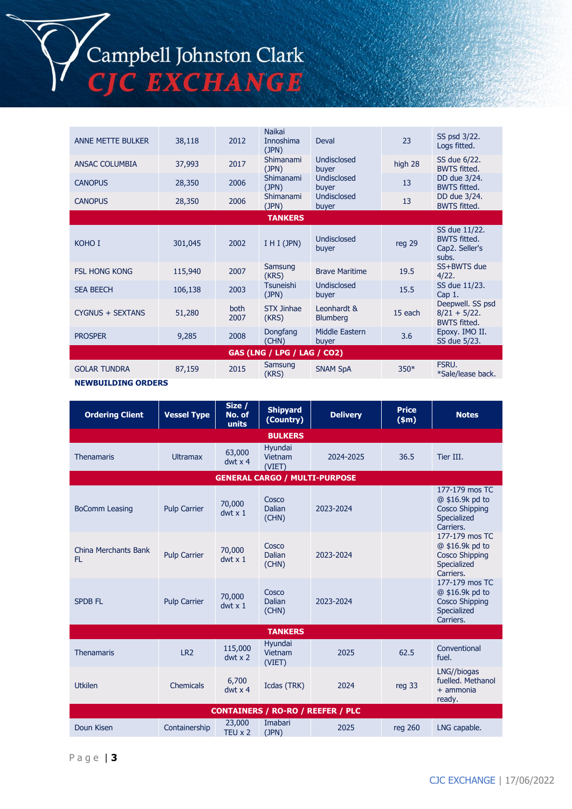## Campbell Johnston Clark **EXCHANGE**

ANNE METTE BULKER 38,118 2012 Naikai Innoshima (JPN) Deval 23 SS psd 3/22. Logs fitted. ANSAC COLUMBIA 37,993 2017 (JPN) Undisclosed buyer high 28 SS due 6/22. BWTS fitted. CANOPUS 28,350 2006 (JPN) Undisclosed buyer <sup>13</sup> DD due 3/24. BWTS fitted. CANOPUS 28,350 <sup>2006</sup> Shimanami (JPN) Undisclosed buyer <sup>13</sup> DD due 3/24. BWTS fitted. **TANKERS** KOHO I  $301,045$  2002 I H I (JPN) Undisclosed Undisclosed<br>buyer reg 29 SS due 11/22. BWTS fitted. Cap2. Seller's subs.<br>SS+BWTS due FSL HONG KONG 115,940 2007 Samsung Brave Maritime 19.5 4/22. SEA BEECH 106,138 2003 Tsuneishi (JPN) Undisclosed Undisclosed SS due 11/23.<br>buyer 15.5 Cap 1. Cap 1.  $CYGNUS + SEXTANS$  51,280 both 2007 STX Jinhae (KRS) Leonhardt & Eleoninatus & 15 each<br>Blumberg 15 each Deepwell. SS psd  $8/21 + 5/22$ . BWTS fitted.<br>Epoxy. IMO II. PROSPER 9,285 2008 Dongfang (CHN) Middle Eastern<br>buyer buyer 3.6 Epoxy. IMO II. SS due 5/23. **GAS (LNG / LPG / LAG / CO2)** GOLAR TUNDRA 87,159 2015 Samsung (KRS) SNAM SpA 350\* FSRU. \*Sale/lease back.

**NEWBUILDING ORDERS**

| <b>Ordering Client</b>                   | <b>Vessel Type</b>  | Size /<br>No. of<br>units | <b>Shipyard</b><br>(Country)         | <b>Delivery</b> | <b>Price</b><br>\$m\$ | <b>Notes</b>                                                                           |  |  |
|------------------------------------------|---------------------|---------------------------|--------------------------------------|-----------------|-----------------------|----------------------------------------------------------------------------------------|--|--|
| <b>BULKERS</b>                           |                     |                           |                                      |                 |                       |                                                                                        |  |  |
| <b>Thenamaris</b>                        | <b>Ultramax</b>     | 63,000<br>$dwt \times 4$  | Hyundai<br>Vietnam<br>(VIET)         | 2024-2025       | 36.5                  | Tier III.                                                                              |  |  |
|                                          |                     |                           | <b>GENERAL CARGO / MULTI-PURPOSE</b> |                 |                       |                                                                                        |  |  |
| <b>BoComm Leasing</b>                    | <b>Pulp Carrier</b> | 70,000<br>$dwt \times 1$  | Cosco<br>Dalian<br>(CHN)             | 2023-2024       |                       | 177-179 mos TC<br>@ \$16.9k pd to<br><b>Cosco Shipping</b><br>Specialized<br>Carriers. |  |  |
| China Merchants Bank<br>FL.              | <b>Pulp Carrier</b> | 70,000<br>$dwt \times 1$  | Cosco<br><b>Dalian</b><br>(CHN)      | 2023-2024       |                       | 177-179 mos TC<br>@ \$16.9k pd to<br><b>Cosco Shipping</b><br>Specialized<br>Carriers. |  |  |
| <b>SPDB FL</b>                           | <b>Pulp Carrier</b> | 70,000<br>$dwt \times 1$  | Cosco<br>Dalian<br>(CHN)             | 2023-2024       |                       | 177-179 mos TC<br>@ \$16.9k pd to<br><b>Cosco Shipping</b><br>Specialized<br>Carriers. |  |  |
| <b>TANKERS</b>                           |                     |                           |                                      |                 |                       |                                                                                        |  |  |
| <b>Thenamaris</b>                        | LR <sub>2</sub>     | 115,000<br>$dwt \times 2$ | Hvundai<br>Vietnam<br>(VIET)         | 2025            | 62.5                  | Conventional<br>fuel.                                                                  |  |  |
| <b>Utkilen</b>                           | Chemicals           | 6,700<br>$dwt \times 4$   | Icdas (TRK)                          | 2024            | reg 33                | LNG//biogas<br>fuelled. Methanol<br>$+$ ammonia<br>ready.                              |  |  |
| <b>CONTAINERS / RO-RO / REEFER / PLC</b> |                     |                           |                                      |                 |                       |                                                                                        |  |  |
| Doun Kisen                               | Containership       | 23,000<br>TEU $\times$ 2  | Imabari<br>(JPN)                     | 2025            | reg 260               | LNG capable.                                                                           |  |  |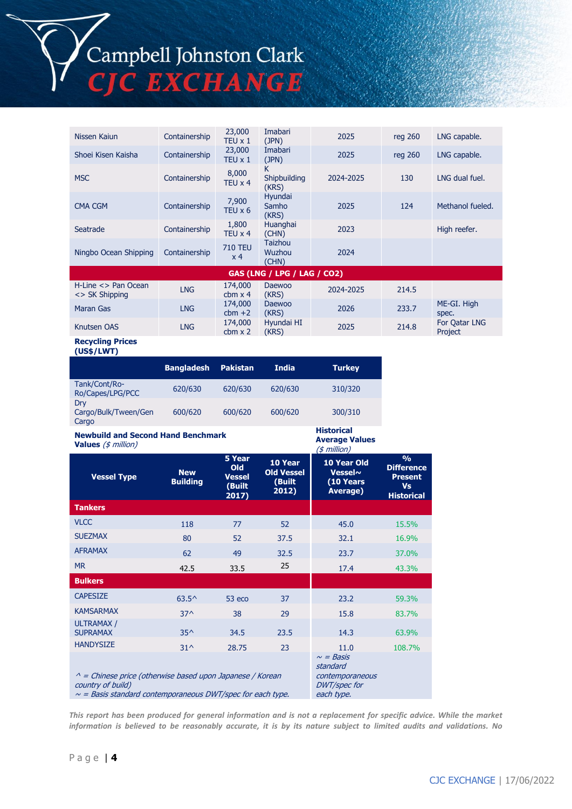# Campbell Johnston Clark

C EXCHANGE

Nissen Kaiun Containership 23,000 TEU x 1 Imabari<br>(JPN) 2025 reg 260 LNG capable. Shoei Kisen Kaisha Containership 23,000  $TEU \times 1$ Imabari<br>(JPN) 2025 reg 260 LNG capable. MSC Containership 8,000 TEU x 4 K Shipbuilding (KRS) 2024-2025 130 LNG dual fuel. CMA CGM Containership 7,900 TEU  $\times$  6 Hyundai Samho (KRS) 2025 124 Methanol fueled. Seatrade Containership 1,800 TEU x 4 Huanghai High reefer.<br>(CHN) 2023 High reefer. Ningbo Ocean Shipping Containership 710 TEU x 4 Taizhou Wuzhou (CHN) 2024 **GAS (LNG / LPG / LAG / CO2)** H-Line <> Pan Ocean <> SK Shipping LNG 174,000 cbm x 4 Daewoo (KRS) 2024-2025 214.5 Maran Gas LNG 174,000  $cbm +2$ <br>174,000 Daewoo (KRS) <sup>2026</sup> 233.7 ME-GI. High spec. Knutsen OAS LNG  $cbm x 2$ Hyundai HI<br>(KRS) (KRS) <sup>2025</sup> 214.8 For Qatar LNG Project

> **Historical Average Values**

### **Recycling Prices (US\$/LWT)**

|                                      | <b>Bangladesh</b> | <b>Pakistan</b> | <b>India</b> | <b>Turkey</b> |
|--------------------------------------|-------------------|-----------------|--------------|---------------|
| Tank/Cont/Ro-<br>Ro/Capes/LPG/PCC    | 620/630           | 620/630         | 620/630      | 310/320       |
| Drv<br>Cargo/Bulk/Tween/Gen<br>Cargo | 600/620           | 600/620         | 600/620      | 300/310       |

#### **Newbuild and Second Hand Benchmark Values** (\$ million)

| values $(\varphi \text{ minimum})$                                                                                                                       |                                                                                    | $($ \$ million $)$                                       |                                                 |                                                  |                                                                                        |  |  |
|----------------------------------------------------------------------------------------------------------------------------------------------------------|------------------------------------------------------------------------------------|----------------------------------------------------------|-------------------------------------------------|--------------------------------------------------|----------------------------------------------------------------------------------------|--|--|
| <b>Vessel Type</b>                                                                                                                                       | <b>New</b><br><b>Building</b>                                                      | 5 Year<br><b>Old</b><br><b>Vessel</b><br>(Built<br>2017) | 10 Year<br><b>Old Vessel</b><br>(Built<br>2012) | 10 Year Old<br>Vessel~<br>(10 Years)<br>Average) | $\frac{9}{6}$<br><b>Difference</b><br><b>Present</b><br><b>Vs</b><br><b>Historical</b> |  |  |
| <b>Tankers</b>                                                                                                                                           |                                                                                    |                                                          |                                                 |                                                  |                                                                                        |  |  |
| <b>VLCC</b>                                                                                                                                              | 118                                                                                | 77                                                       | 52                                              | 45.0                                             | 15.5%                                                                                  |  |  |
| <b>SUEZMAX</b>                                                                                                                                           | 80                                                                                 | 52                                                       | 37.5                                            | 32.1                                             | 16.9%                                                                                  |  |  |
| <b>AFRAMAX</b>                                                                                                                                           | 62                                                                                 | 49                                                       | 32.5                                            | 23.7                                             | 37.0%                                                                                  |  |  |
| <b>MR</b>                                                                                                                                                | 42.5                                                                               | 33.5                                                     | 25                                              | 17.4                                             | 43.3%                                                                                  |  |  |
| <b>Bulkers</b>                                                                                                                                           |                                                                                    |                                                          |                                                 |                                                  |                                                                                        |  |  |
| <b>CAPESIZE</b>                                                                                                                                          | $63.5^{\circ}$                                                                     | 53 eco                                                   | 37                                              | 23.2                                             | 59.3%                                                                                  |  |  |
| <b>KAMSARMAX</b>                                                                                                                                         | $37^$                                                                              | 38                                                       | 29                                              | 15.8                                             | 83.7%                                                                                  |  |  |
| <b>ULTRAMAX/</b><br><b>SUPRAMAX</b>                                                                                                                      | $35^$                                                                              | 34.5                                                     | 23.5                                            | 14.3                                             | 63.9%                                                                                  |  |  |
| <b>HANDYSIZE</b>                                                                                                                                         | $31^{\circ}$                                                                       | 28.75                                                    | 23                                              | 11.0                                             | 108.7%                                                                                 |  |  |
| $\wedge$ = Chinese price (otherwise based upon Japanese / Korean<br>country of build)<br>$\sim$ = Basis standard contemporaneous DWT/spec for each type. | $\sim$ = Basis<br>standard<br>contemporaneous<br><b>DWT/spec for</b><br>each type. |                                                          |                                                 |                                                  |                                                                                        |  |  |

*This report has been produced for general information and is not a replacement for specific advice. While the market information is believed to be reasonably accurate, it is by its nature subject to limited audits and validations. No*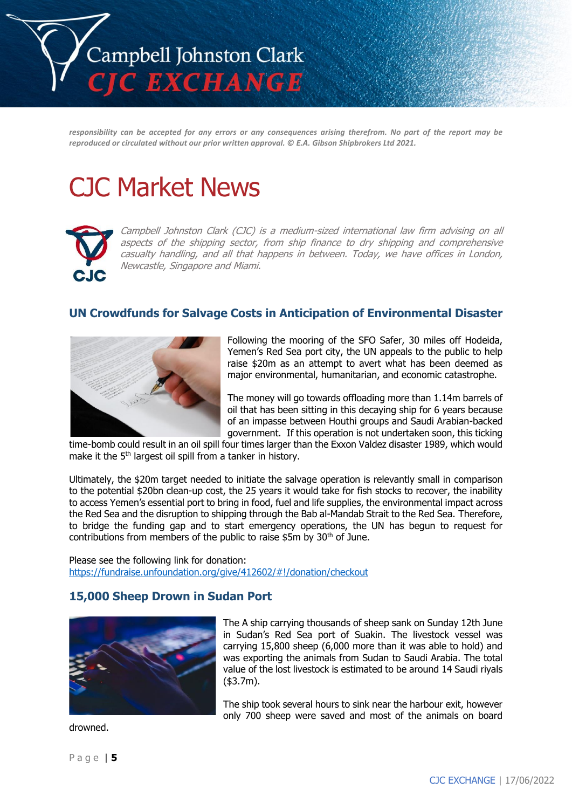

*responsibility can be accepted for any errors or any consequences arising therefrom. No part of the report may be reproduced or circulated without our prior written approval. © E.A. Gibson Shipbrokers Ltd 2021.*

# CJC Market News



Campbell Johnston Clark (CJC) is a medium-sized international law firm advising on all aspects of the shipping sector, from ship finance to dry shipping and comprehensive casualty handling, and all that happens in between. Today, we have offices in London, Newcastle, Singapore and Miami.

## **UN Crowdfunds for Salvage Costs in Anticipation of Environmental Disaster**



Following the mooring of the SFO Safer, 30 miles off Hodeida, Yemen's Red Sea port city, the UN appeals to the public to help raise \$20m as an attempt to avert what has been deemed as major environmental, humanitarian, and economic catastrophe.

The money will go towards offloading more than 1.14m barrels of oil that has been sitting in this decaying ship for 6 years because of an impasse between Houthi groups and Saudi Arabian-backed government. If this operation is not undertaken soon, this ticking

time-bomb could result in an oil spill four times larger than the Exxon Valdez disaster 1989, which would make it the 5<sup>th</sup> largest oil spill from a tanker in history.

Ultimately, the \$20m target needed to initiate the salvage operation is relevantly small in comparison to the potential \$20bn clean-up cost, the 25 years it would take for fish stocks to recover, the inability to access Yemen's essential port to bring in food, fuel and life supplies, the environmental impact across the Red Sea and the disruption to shipping through the Bab al-Mandab Strait to the Red Sea. Therefore, to bridge the funding gap and to start emergency operations, the UN has begun to request for contributions from members of the public to raise  $$5m$  by 30<sup>th</sup> of June.

Please see the following link for donation: <https://fundraise.unfoundation.org/give/412602/#!/donation/checkout>

### **15,000 Sheep Drown in Sudan Port**



The A ship carrying thousands of sheep sank on Sunday 12th June in Sudan's Red Sea port of Suakin. The livestock vessel was carrying 15,800 sheep (6,000 more than it was able to hold) and was exporting the animals from Sudan to Saudi Arabia. The total value of the lost livestock is estimated to be around 14 Saudi riyals (\$3.7m).

The ship took several hours to sink near the harbour exit, however only 700 sheep were saved and most of the animals on board

drowned.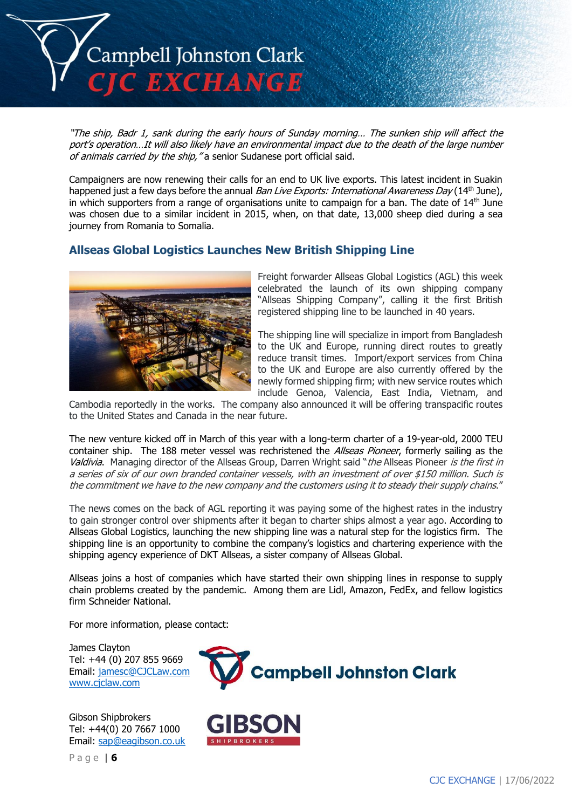

"The ship, Badr 1, sank during the early hours of Sunday morning… The sunken ship will affect the port's operation…It will also likely have an environmental impact due to the death of the large number of animals carried by the ship, "a senior Sudanese port official said.

Campaigners are now renewing their calls for an end to UK live exports. This latest incident in Suakin happened just a few days before the annual *Ban Live Exports: International Awareness Day* (14<sup>th</sup> June), in which supporters from a range of organisations unite to campaign for a ban. The date of 14<sup>th</sup> June was chosen due to a similar incident in 2015, when, on that date, 13,000 sheep died during a sea journey from Romania to Somalia.

## **Allseas Global Logistics Launches New British Shipping Line**



Freight forwarder Allseas Global Logistics (AGL) this week celebrated the launch of its own shipping company "Allseas Shipping Company", calling it the first British registered shipping line to be launched in 40 years.

The shipping line will specialize in import from Bangladesh to the UK and Europe, running direct routes to greatly reduce transit times. Import/export services from China to the UK and Europe are also currently offered by the newly formed shipping firm; with new service routes which include Genoa, Valencia, East India, Vietnam, and

Cambodia reportedly in the works. The company also announced it will be offering transpacific routes to the United States and Canada in the near future.

The new venture kicked off in March of this year with a long-term charter of a 19-year-old, 2000 TEU container ship. The 188 meter vessel was rechristened the *Allseas Pioneer*, formerly sailing as the Valdivia. Managing director of the Allseas Group, Darren Wright said "the Allseas Pioneer is the first in a series of six of our own branded container vessels, with an investment of over \$150 million. Such is the commitment we have to the new company and the customers using it to steady their supply chains."

The news comes on the back of AGL reporting it was paying some of the highest rates in the industry to gain stronger control over shipments after it began to charter ships almost a year ago. According to Allseas Global Logistics, launching the new shipping line was a natural step for the logistics firm. The shipping line is an opportunity to combine the company's logistics and chartering experience with the shipping agency experience of DKT Allseas, a sister company of Allseas Global.

Allseas joins a host of companies which have started their own shipping lines in response to supply chain problems created by the pandemic. Among them are Lidl, Amazon, FedEx, and fellow logistics firm Schneider National.

For more information, please contact:

James Clayton Tel: +44 (0) 207 855 9669 Email: [jamesc@CJCLaw.com](mailto:jamesc@CJCLaw.com) [www.cjclaw.com](http://www.cjclaw.com/)



P a g e | **6**